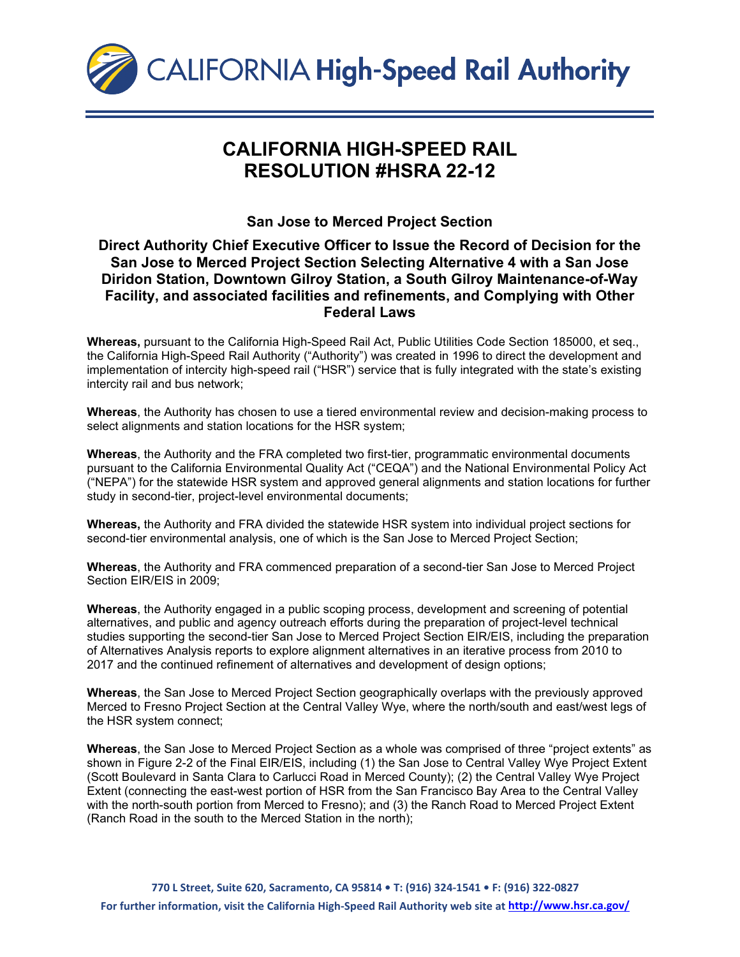

## **CALIFORNIA HIGH-SPEED RAIL RESOLUTION #HSRA 22-12**

## **San Jose to Merced Project Section**

## **Direct Authority Chief Executive Officer to Issue the Record of Decision for the San Jose to Merced Project Section Selecting Alternative 4 with a San Jose Diridon Station, Downtown Gilroy Station, a South Gilroy Maintenance-of-Way Facility, and associated facilities and refinements, and Complying with Other Federal Laws**

**Whereas,** pursuant to the California High-Speed Rail Act, Public Utilities Code Section 185000, et seq., the California High-Speed Rail Authority ("Authority") was created in 1996 to direct the development and implementation of intercity high-speed rail ("HSR") service that is fully integrated with the state's existing intercity rail and bus network;

**Whereas**, the Authority has chosen to use a tiered environmental review and decision-making process to select alignments and station locations for the HSR system;

**Whereas**, the Authority and the FRA completed two first-tier, programmatic environmental documents pursuant to the California Environmental Quality Act ("CEQA") and the National Environmental Policy Act ("NEPA") for the statewide HSR system and approved general alignments and station locations for further study in second-tier, project-level environmental documents;

**Whereas,** the Authority and FRA divided the statewide HSR system into individual project sections for second-tier environmental analysis, one of which is the San Jose to Merced Project Section;

**Whereas**, the Authority and FRA commenced preparation of a second-tier San Jose to Merced Project Section EIR/EIS in 2009;

**Whereas**, the Authority engaged in a public scoping process, development and screening of potential alternatives, and public and agency outreach efforts during the preparation of project-level technical studies supporting the second-tier San Jose to Merced Project Section EIR/EIS, including the preparation of Alternatives Analysis reports to explore alignment alternatives in an iterative process from 2010 to 2017 and the continued refinement of alternatives and development of design options;

**Whereas**, the San Jose to Merced Project Section geographically overlaps with the previously approved Merced to Fresno Project Section at the Central Valley Wye, where the north/south and east/west legs of the HSR system connect;

**Whereas**, the San Jose to Merced Project Section as a whole was comprised of three "project extents" as shown in Figure 2-2 of the Final EIR/EIS, including (1) the San Jose to Central Valley Wye Project Extent (Scott Boulevard in Santa Clara to Carlucci Road in Merced County); (2) the Central Valley Wye Project Extent (connecting the east-west portion of HSR from the San Francisco Bay Area to the Central Valley with the north-south portion from Merced to Fresno); and (3) the Ranch Road to Merced Project Extent (Ranch Road in the south to the Merced Station in the north);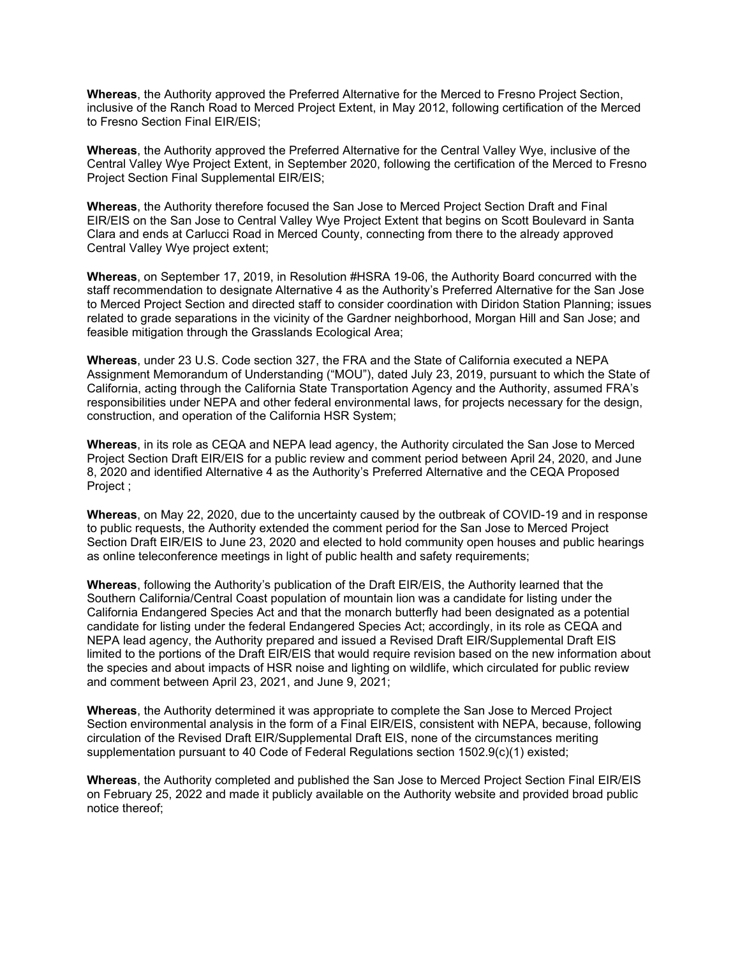**Whereas**, the Authority approved the Preferred Alternative for the Merced to Fresno Project Section, inclusive of the Ranch Road to Merced Project Extent, in May 2012, following certification of the Merced to Fresno Section Final EIR/EIS;

**Whereas**, the Authority approved the Preferred Alternative for the Central Valley Wye, inclusive of the Central Valley Wye Project Extent, in September 2020, following the certification of the Merced to Fresno Project Section Final Supplemental EIR/EIS;

**Whereas**, the Authority therefore focused the San Jose to Merced Project Section Draft and Final EIR/EIS on the San Jose to Central Valley Wye Project Extent that begins on Scott Boulevard in Santa Clara and ends at Carlucci Road in Merced County, connecting from there to the already approved Central Valley Wye project extent;

**Whereas**, on September 17, 2019, in Resolution #HSRA 19-06, the Authority Board concurred with the staff recommendation to designate Alternative 4 as the Authority's Preferred Alternative for the San Jose to Merced Project Section and directed staff to consider coordination with Diridon Station Planning; issues related to grade separations in the vicinity of the Gardner neighborhood, Morgan Hill and San Jose; and feasible mitigation through the Grasslands Ecological Area;

**Whereas**, under 23 U.S. Code section 327, the FRA and the State of California executed a NEPA Assignment Memorandum of Understanding ("MOU"), dated July 23, 2019, pursuant to which the State of California, acting through the California State Transportation Agency and the Authority, assumed FRA's responsibilities under NEPA and other federal environmental laws, for projects necessary for the design, construction, and operation of the California HSR System;

**Whereas**, in its role as CEQA and NEPA lead agency, the Authority circulated the San Jose to Merced Project Section Draft EIR/EIS for a public review and comment period between April 24, 2020, and June 8, 2020 and identified Alternative 4 as the Authority's Preferred Alternative and the CEQA Proposed Project ;

**Whereas**, on May 22, 2020, due to the uncertainty caused by the outbreak of COVID-19 and in response to public requests, the Authority extended the comment period for the San Jose to Merced Project Section Draft EIR/EIS to June 23, 2020 and elected to hold community open houses and public hearings as online teleconference meetings in light of public health and safety requirements;

**Whereas**, following the Authority's publication of the Draft EIR/EIS, the Authority learned that the Southern California/Central Coast population of mountain lion was a candidate for listing under the California Endangered Species Act and that the monarch butterfly had been designated as a potential candidate for listing under the federal Endangered Species Act; accordingly, in its role as CEQA and NEPA lead agency, the Authority prepared and issued a Revised Draft EIR/Supplemental Draft EIS limited to the portions of the Draft EIR/EIS that would require revision based on the new information about the species and about impacts of HSR noise and lighting on wildlife, which circulated for public review and comment between April 23, 2021, and June 9, 2021;

**Whereas**, the Authority determined it was appropriate to complete the San Jose to Merced Project Section environmental analysis in the form of a Final EIR/EIS, consistent with NEPA, because, following circulation of the Revised Draft EIR/Supplemental Draft EIS, none of the circumstances meriting supplementation pursuant to 40 Code of Federal Regulations section 1502.9(c)(1) existed;

**Whereas**, the Authority completed and published the San Jose to Merced Project Section Final EIR/EIS on February 25, 2022 and made it publicly available on the Authority website and provided broad public notice thereof;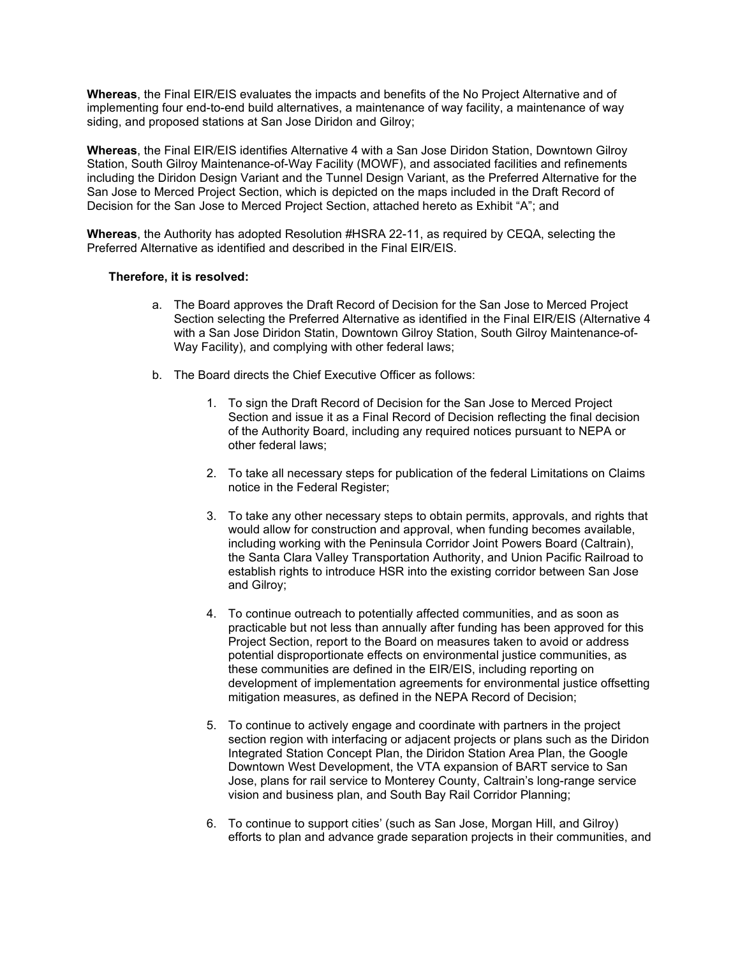**Whereas**, the Final EIR/EIS evaluates the impacts and benefits of the No Project Alternative and of implementing four end-to-end build alternatives, a maintenance of way facility, a maintenance of way siding, and proposed stations at San Jose Diridon and Gilroy;

**Whereas**, the Final EIR/EIS identifies Alternative 4 with a San Jose Diridon Station, Downtown Gilroy Station, South Gilroy Maintenance-of-Way Facility (MOWF), and associated facilities and refinements including the Diridon Design Variant and the Tunnel Design Variant, as the Preferred Alternative for the San Jose to Merced Project Section, which is depicted on the maps included in the Draft Record of Decision for the San Jose to Merced Project Section, attached hereto as Exhibit "A"; and

**Whereas**, the Authority has adopted Resolution #HSRA 22-11, as required by CEQA, selecting the Preferred Alternative as identified and described in the Final EIR/EIS.

## **Therefore, it is resolved:**

- a. The Board approves the Draft Record of Decision for the San Jose to Merced Project Section selecting the Preferred Alternative as identified in the Final EIR/EIS (Alternative 4 with a San Jose Diridon Statin, Downtown Gilroy Station, South Gilroy Maintenance-of-Way Facility), and complying with other federal laws;
- b. The Board directs the Chief Executive Officer as follows:
	- 1. To sign the Draft Record of Decision for the San Jose to Merced Project Section and issue it as a Final Record of Decision reflecting the final decision of the Authority Board, including any required notices pursuant to NEPA or other federal laws;
	- 2. To take all necessary steps for publication of the federal Limitations on Claims notice in the Federal Register;
	- 3. To take any other necessary steps to obtain permits, approvals, and rights that would allow for construction and approval, when funding becomes available, including working with the Peninsula Corridor Joint Powers Board (Caltrain), the Santa Clara Valley Transportation Authority, and Union Pacific Railroad to establish rights to introduce HSR into the existing corridor between San Jose and Gilroy;
	- 4. To continue outreach to potentially affected communities, and as soon as practicable but not less than annually after funding has been approved for this Project Section, report to the Board on measures taken to avoid or address potential disproportionate effects on environmental justice communities, as these communities are defined in the EIR/EIS, including reporting on development of implementation agreements for environmental justice offsetting mitigation measures, as defined in the NEPA Record of Decision;
	- 5. To continue to actively engage and coordinate with partners in the project section region with interfacing or adjacent projects or plans such as the Diridon Integrated Station Concept Plan, the Diridon Station Area Plan, the Google Downtown West Development, the VTA expansion of BART service to San Jose, plans for rail service to Monterey County, Caltrain's long-range service vision and business plan, and South Bay Rail Corridor Planning;
	- 6. To continue to support cities' (such as San Jose, Morgan Hill, and Gilroy) efforts to plan and advance grade separation projects in their communities, and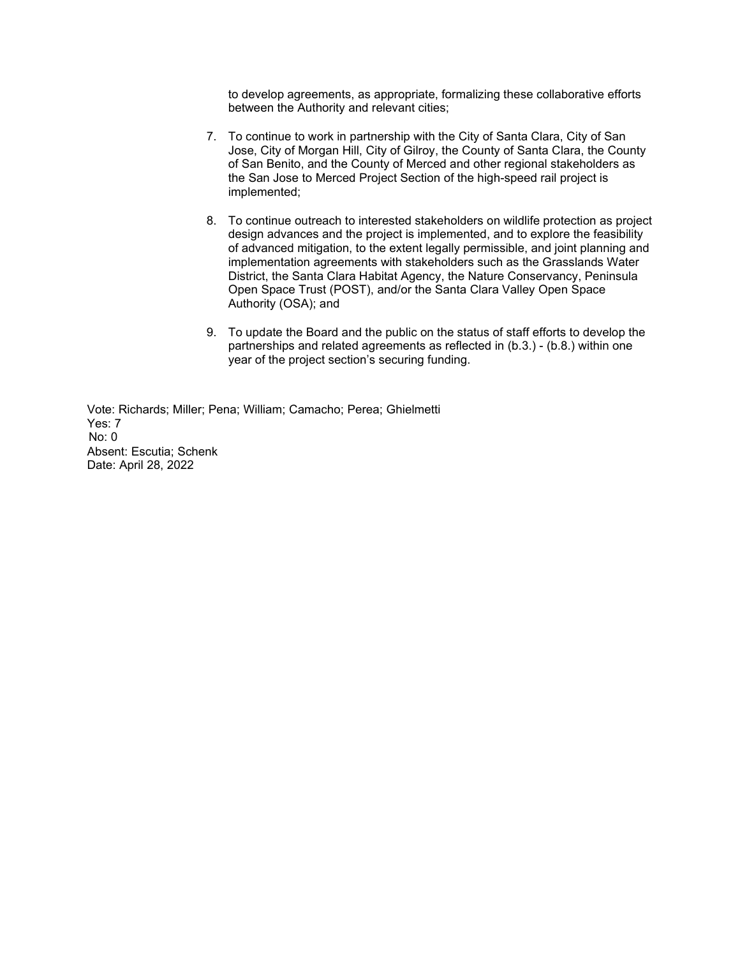to develop agreements, as appropriate, formalizing these collaborative efforts between the Authority and relevant cities;

- 7. To continue to work in partnership with the City of Santa Clara, City of San Jose, City of Morgan Hill, City of Gilroy, the County of Santa Clara, the County of San Benito, and the County of Merced and other regional stakeholders as the San Jose to Merced Project Section of the high-speed rail project is implemented;
- 8. To continue outreach to interested stakeholders on wildlife protection as project design advances and the project is implemented, and to explore the feasibility of advanced mitigation, to the extent legally permissible, and joint planning and implementation agreements with stakeholders such as the Grasslands Water District, the Santa Clara Habitat Agency, the Nature Conservancy, Peninsula Open Space Trust (POST), and/or the Santa Clara Valley Open Space Authority (OSA); and
- 9. To update the Board and the public on the status of staff efforts to develop the partnerships and related agreements as reflected in (b.3.) - (b.8.) within one year of the project section's securing funding.

Vote: Richards; Miller; Pena; William; Camacho; Perea; Ghielmetti Yes: 7 No: 0 Absent: Escutia; Schenk Date: April 28, 2022